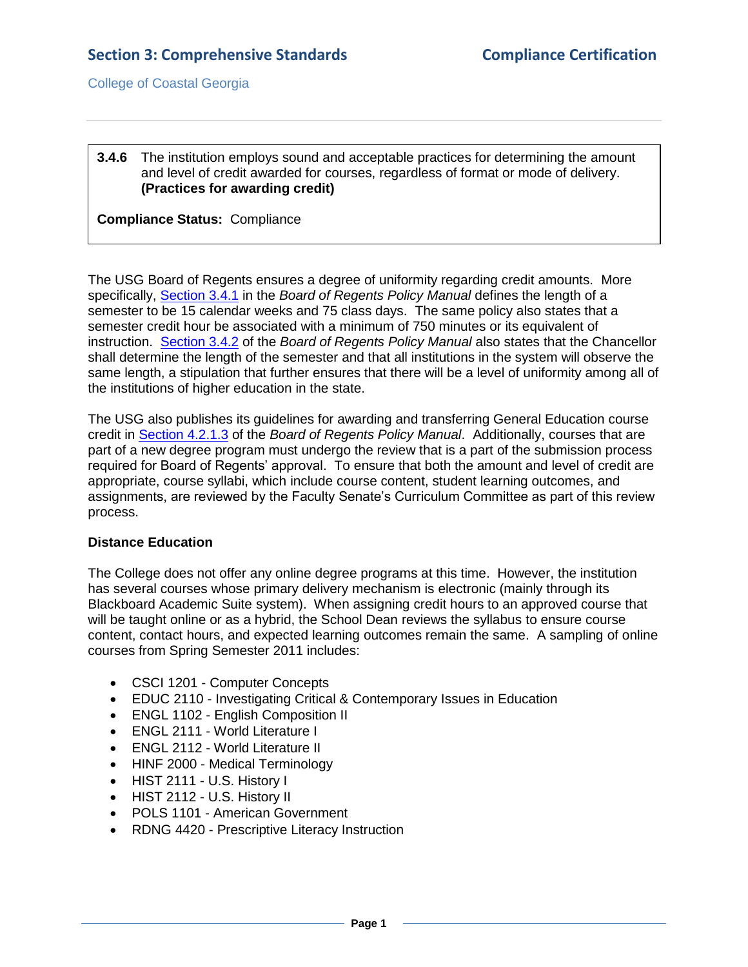College of Coastal Georgia

## **3.4.6** The institution employs sound and acceptable practices for determining the amount and level of credit awarded for courses, regardless of format or mode of delivery. **(Practices for awarding credit)**

**Compliance Status:** Compliance

The USG Board of Regents ensures a degree of uniformity regarding credit amounts. More specifically, [Section 3.4.1](3.4.6.aUSGBORpolicymanual3.4.pdf#page=1) in the *Board of Regents Policy Manual* defines the length of a semester to be 15 calendar weeks and 75 class days. The same policy also states that a semester credit hour be associated with a minimum of 750 minutes or its equivalent of instruction. [Section 3.4.2](3.4.6.aUSGBORpolicymanual3.4.pdf#page=1) of the *Board of Regents Policy Manual* also states that the Chancellor shall determine the length of the semester and that all institutions in the system will observe the same length, a stipulation that further ensures that there will be a level of uniformity among all of the institutions of higher education in the state.

The USG also publishes its guidelines for awarding and transferring General Education course credit in [Section 4.2.1.3](3.4.6.bUSGBORpolicymanual4.2.1.3.pdf#page=4) of the *Board of Regents Policy Manual*. Additionally, courses that are part of a new degree program must undergo the review that is a part of the submission process required for Board of Regents' approval. To ensure that both the amount and level of credit are appropriate, course syllabi, which include course content, student learning outcomes, and assignments, are reviewed by the Faculty Senate's Curriculum Committee as part of this review process.

## **Distance Education**

The College does not offer any online degree programs at this time. However, the institution has several courses whose primary delivery mechanism is electronic (mainly through its Blackboard Academic Suite system). When assigning credit hours to an approved course that will be taught online or as a hybrid, the School Dean reviews the syllabus to ensure course content, contact hours, and expected learning outcomes remain the same. A sampling of online courses from Spring Semester 2011 includes:

- CSCI 1201 Computer Concepts
- EDUC 2110 Investigating Critical & Contemporary Issues in Education
- ENGL 1102 English Composition II
- ENGL 2111 World Literature I
- ENGL 2112 World Literature II
- HINF 2000 Medical Terminology
- HIST 2111 U.S. History I
- HIST 2112 U.S. History II
- POLS 1101 American Government
- RDNG 4420 Prescriptive Literacy Instruction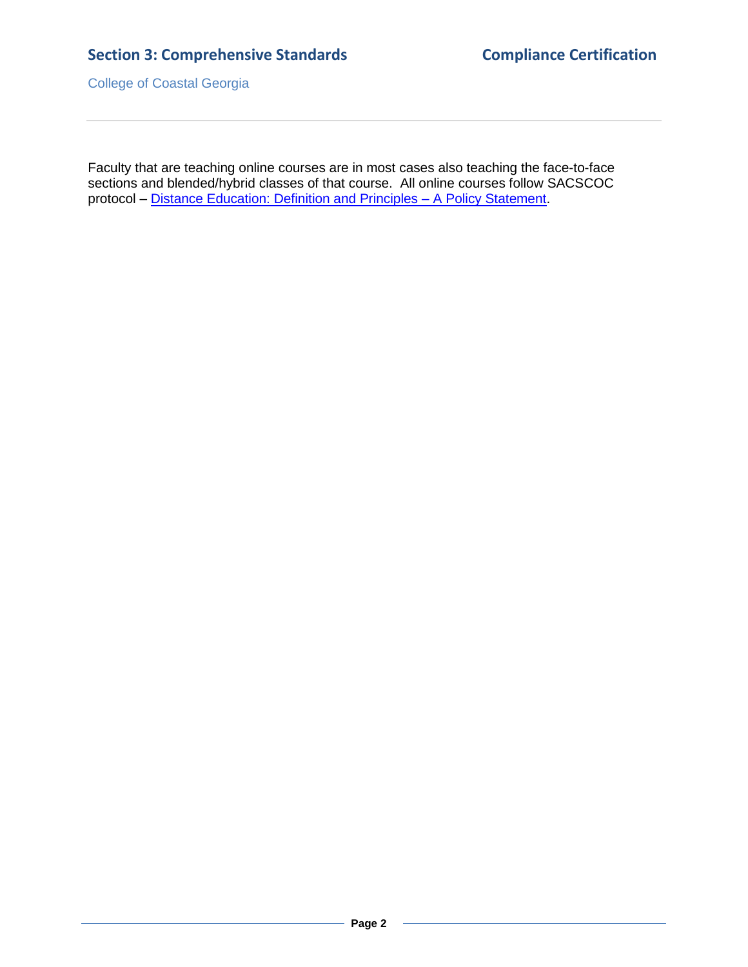## **Section 3: Comprehensive Standards Compliance Certification**

College of Coastal Georgia

Faculty that are teaching online courses are in most cases also teaching the face-to-face sections and blended/hybrid classes of that course. All online courses follow SACSCOC protocol – [Distance Education: Definition and Principles –](3.4.6.cSACSCOCDistanceEdStatement.pdf#page=1) A Policy Statement.